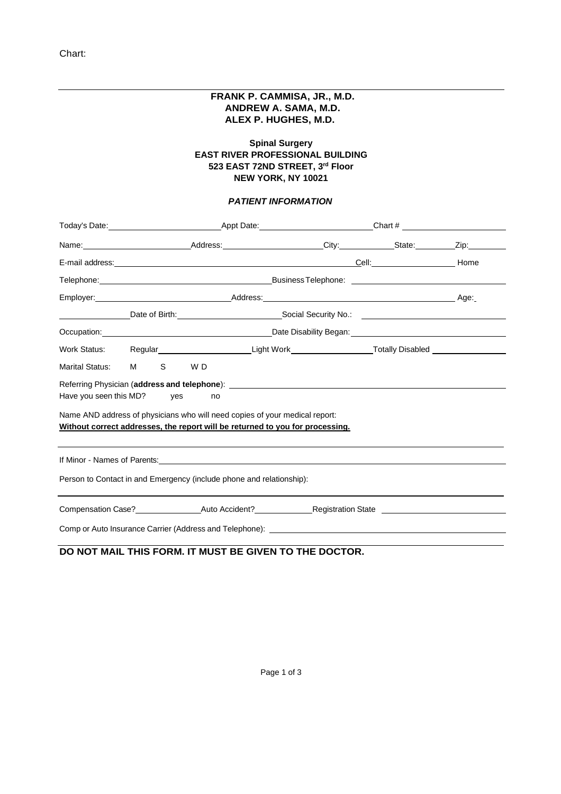### **FRANK P. CAMMISA, JR., M.D. ANDREW A. SAMA, M.D. ALEX P. HUGHES, M.D.**

### **Spinal Surgery EAST RIVER PROFESSIONAL BUILDING 523 EAST 72ND STREET, 3rd Floor NEW YORK, NY 10021**

### *PATIENT INFORMATION*

|                                                                      | Today's Date: The Contract Contract Appt Date: Chart # Chart # Chart # Chart # Chart # Chart # Chart # Chart #                                                                                                                 |                                                                                                                                                              |  |  |                                                                                                                  |  |  |
|----------------------------------------------------------------------|--------------------------------------------------------------------------------------------------------------------------------------------------------------------------------------------------------------------------------|--------------------------------------------------------------------------------------------------------------------------------------------------------------|--|--|------------------------------------------------------------------------------------------------------------------|--|--|
|                                                                      |                                                                                                                                                                                                                                |                                                                                                                                                              |  |  | Name: Zip: 2001 Address: 2008 Address: 2008 Address: 2008 Address: 2008 Address: 2008 Address: 2008 Address: 200 |  |  |
|                                                                      |                                                                                                                                                                                                                                |                                                                                                                                                              |  |  |                                                                                                                  |  |  |
|                                                                      |                                                                                                                                                                                                                                |                                                                                                                                                              |  |  |                                                                                                                  |  |  |
|                                                                      |                                                                                                                                                                                                                                |                                                                                                                                                              |  |  |                                                                                                                  |  |  |
|                                                                      |                                                                                                                                                                                                                                |                                                                                                                                                              |  |  |                                                                                                                  |  |  |
|                                                                      |                                                                                                                                                                                                                                |                                                                                                                                                              |  |  |                                                                                                                  |  |  |
|                                                                      |                                                                                                                                                                                                                                |                                                                                                                                                              |  |  | Work Status: Regular__________________________Light Work________________________Totally Disabled _____________   |  |  |
| Marital Status: M                                                    | S and the set of the set of the set of the set of the set of the set of the set of the set of the set of the set of the set of the set of the set of the set of the set of the set of the set of the set of the set of the set | W D                                                                                                                                                          |  |  |                                                                                                                  |  |  |
|                                                                      | Have you seen this MD? yes                                                                                                                                                                                                     | Referring Physician (address and telephone): ___________________________________<br>no                                                                       |  |  |                                                                                                                  |  |  |
|                                                                      |                                                                                                                                                                                                                                | Name AND address of physicians who will need copies of your medical report:<br>Without correct addresses, the report will be returned to you for processing. |  |  |                                                                                                                  |  |  |
| Person to Contact in and Emergency (include phone and relationship): |                                                                                                                                                                                                                                |                                                                                                                                                              |  |  |                                                                                                                  |  |  |
|                                                                      |                                                                                                                                                                                                                                |                                                                                                                                                              |  |  |                                                                                                                  |  |  |
|                                                                      |                                                                                                                                                                                                                                |                                                                                                                                                              |  |  |                                                                                                                  |  |  |
|                                                                      |                                                                                                                                                                                                                                |                                                                                                                                                              |  |  | Comp or Auto Insurance Carrier (Address and Telephone):                                                          |  |  |

### **DO NOT MAIL THIS FORM. IT MUST BE GIVEN TO THE DOCTOR.**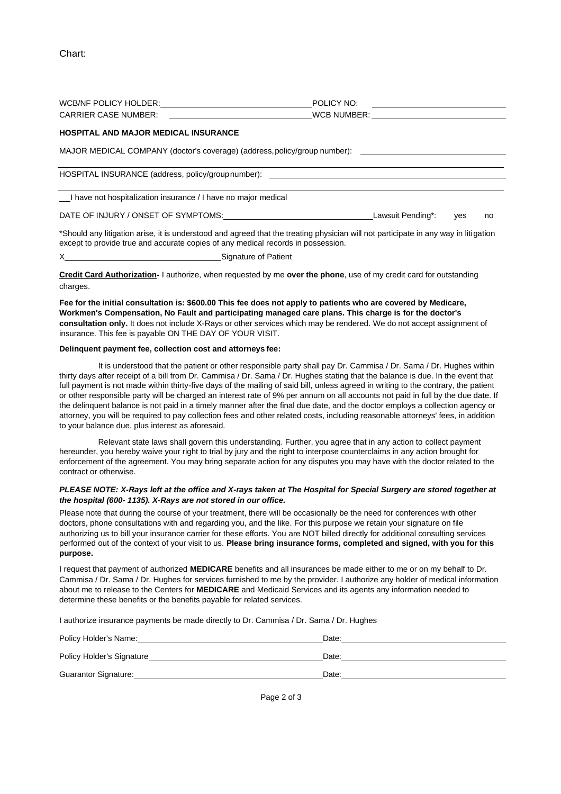|                                                                                  | POLICY NO:<br><u> 1989 - Andrea Station Barbara, amerikan per</u>                                                                   |  |
|----------------------------------------------------------------------------------|-------------------------------------------------------------------------------------------------------------------------------------|--|
| CARRIER CASE NUMBER: <u>___________________</u>                                  |                                                                                                                                     |  |
| <b>HOSPITAL AND MAJOR MEDICAL INSURANCE</b>                                      |                                                                                                                                     |  |
|                                                                                  | MAJOR MEDICAL COMPANY (doctor's coverage) (address, policy/group number): __________________________                                |  |
| HOSPITAL INSURANCE (address, policy/group number): _____________________________ |                                                                                                                                     |  |
| I have not hospitalization insurance / I have no major medical                   |                                                                                                                                     |  |
| DATE OF INJURY / ONSET OF SYMPTOMS: DATE OF INJURY / ONSET OF SYMPTOMS:          | Lawsuit Pending*: yes<br>no                                                                                                         |  |
|                                                                                  | *Should any litigation arise, it is understood and agreed that the treating physician will not participate in any way in litigation |  |

X Signature of Patient

**Credit Card Authorization-** I authorize, when requested by me **over the phone**, use of my credit card for outstanding charges.

**Fee for the initial consultation is: \$600.00 This fee does not apply to patients who are covered by Medicare, Workmen's Compensation, No Fault and participating managed care plans. This charge is for the doctor's consultation only.** It does not include X-Rays or other services which may be rendered. We do not accept assignment of insurance. This fee is payable ON THE DAY OF YOUR VISIT.

#### **Delinquent payment fee, collection cost and attorneys fee:**

except to provide true and accurate copies of any medical records in possession.

It is understood that the patient or other responsible party shall pay Dr. Cammisa / Dr. Sama / Dr. Hughes within thirty days after receipt of a bill from Dr. Cammisa / Dr. Sama / Dr. Hughes stating that the balance is due. In the event that full payment is not made within thirty-five days of the mailing of said bill, unless agreed in writing to the contrary, the patient or other responsible party will be charged an interest rate of 9% per annum on all accounts not paid in full by the due date. If the delinquent balance is not paid in a timely manner after the final due date, and the doctor employs a collection agency or attorney, you will be required to pay collection fees and other related costs, including reasonable attorneys' fees, in addition to your balance due, plus interest as aforesaid.

Relevant state laws shall govern this understanding. Further, you agree that in any action to collect payment hereunder, you hereby waive your right to trial by jury and the right to interpose counterclaims in any action brought for enforcement of the agreement. You may bring separate action for any disputes you may have with the doctor related to the contract or otherwise.

#### *PLEASE NOTE: X-Rays left at the office and X-rays taken at The Hospital for Special Surgery are stored together at the hospital (600- 1135). X-Rays are not stored in our office.*

Please note that during the course of your treatment, there will be occasionally be the need for conferences with other doctors, phone consultations with and regarding you, and the like. For this purpose we retain your signature on file authorizing us to bill your insurance carrier for these efforts. You are NOT billed directly for additional consulting services performed out of the context of your visit to us. **Please bring insurance forms, completed and signed, with you for this purpose.**

I request that payment of authorized **MEDICARE** benefits and all insurances be made either to me or on my behalf to Dr. Cammisa / Dr. Sama / Dr. Hughes for services furnished to me by the provider. I authorize any holder of medical information about me to release to the Centers for **MEDICARE** and Medicaid Services and its agents any information needed to determine these benefits or the benefits payable for related services.

I authorize insurance payments be made directly to Dr. Cammisa / Dr. Sama / Dr. Hughes

| Policy Holder's Name:       | Date: |
|-----------------------------|-------|
| Policy Holder's Signature   | Date: |
| <b>Guarantor Signature:</b> | Date: |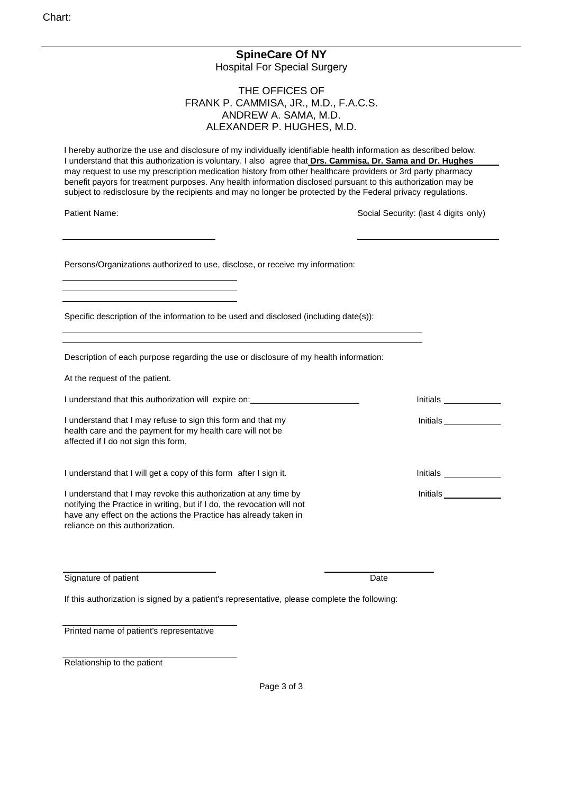# **SpineCare Of NY**

Hospital For Special Surgery

### THE OFFICES OF FRANK P. CAMMISA, JR., M.D., F.A.C.S. ANDREW A. SAMA, M.D. ALEXANDER P. HUGHES, M.D.

 I hereby authorize the use and disclosure of my individually identifiable health information as described below. I understand that this authorization is voluntary. I also agree that **Drs. Cammisa, Dr. Sama and Dr. Hughes** may request to use my prescription medication history from other healthcare providers or 3rd party pharmacy benefit payors for treatment purposes. Any health information disclosed pursuant to this authorization may be subject to redisclosure by the recipients and may no longer be protected by the Federal privacy regulations.

Patient Name: **Social Security:** (last 4 digits only)

Initials

Initials

Persons/Organizations authorized to use, disclose, or receive my information:

Specific description of the information to be used and disclosed (including date(s)):

Description of each purpose regarding the use or disclosure of my health information:

At the request of the patient.

I understand that this authorization will expire on: **Initials Initials Initials Initials** 

I understand that I may refuse to sign this form and that my health care and the payment for my health care will not be affected if I do not sign this form,

I understand that I will get a copy of this form after I sign it. Initials contains the limitials contained by the limitials contained by the limitial summation of the limitials contained by the limitial summation of the l

I understand that I may revoke this authorization at any time by notifying the Practice in writing, but if I do, the revocation will not have any effect on the actions the Practice has already taken in reliance on this authorization.

Signature of patient Date Date Date Date Date Date

If this authorization is signed by a patient's representative, please complete the following:

Printed name of patient's representative

Relationship to the patient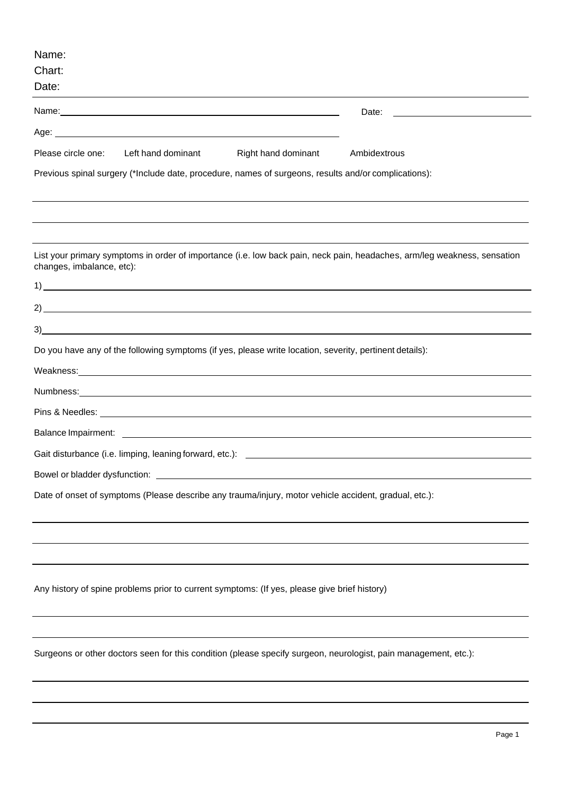| Name:<br>Chart:<br>Date:                                                                                                                                                                                                            |
|-------------------------------------------------------------------------------------------------------------------------------------------------------------------------------------------------------------------------------------|
| Date:                                                                                                                                                                                                                               |
| Age: <u>example</u> and a series of the series of the series of the series of the series of the series of the series of the series of the series of the series of the series of the series of the series of the series of the serie |
| Please circle one:<br>Left hand dominant<br>Right hand dominant<br>Ambidextrous                                                                                                                                                     |
| Previous spinal surgery (*Include date, procedure, names of surgeons, results and/or complications):                                                                                                                                |
|                                                                                                                                                                                                                                     |
| List your primary symptoms in order of importance (i.e. low back pain, neck pain, headaches, arm/leg weakness, sensation<br>changes, imbalance, etc):                                                                               |
| $\frac{1}{2}$                                                                                                                                                                                                                       |
|                                                                                                                                                                                                                                     |
|                                                                                                                                                                                                                                     |
| Do you have any of the following symptoms (if yes, please write location, severity, pertinent details):                                                                                                                             |
| Weakness: Network and the Marian Community of the Marian Community of the Marian Community of the Marian Community of the Marian Community of the Marian Community of the Marian Community of the Marian Community of the Mari      |
| Numbriess: Numbriess: Numbries and Alliance and Alliance and Alliance and Alliance and Alliance and Alliance and Alliance and Alliance and Alliance and Alliance and Alliance and Alliance and Alliance and Alliance and Allia      |
|                                                                                                                                                                                                                                     |
|                                                                                                                                                                                                                                     |
|                                                                                                                                                                                                                                     |
|                                                                                                                                                                                                                                     |
| Date of onset of symptoms (Please describe any trauma/injury, motor vehicle accident, gradual, etc.):                                                                                                                               |
|                                                                                                                                                                                                                                     |
| Any history of spine problems prior to current symptoms: (If yes, please give brief history)                                                                                                                                        |
| Surgeons or other doctors seen for this condition (please specify surgeon, neurologist, pain management, etc.):                                                                                                                     |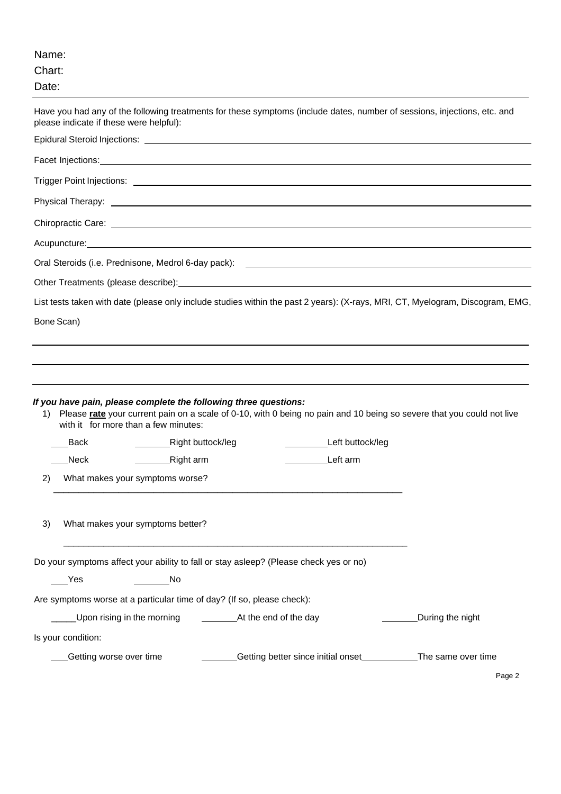| Name:<br>Chart:<br>Date:                   |                                                                                                                   |                                                                                                                                                                                                                                |                  |
|--------------------------------------------|-------------------------------------------------------------------------------------------------------------------|--------------------------------------------------------------------------------------------------------------------------------------------------------------------------------------------------------------------------------|------------------|
| please indicate if these were helpful):    |                                                                                                                   | Have you had any of the following treatments for these symptoms (include dates, number of sessions, injections, etc. and                                                                                                       |                  |
|                                            |                                                                                                                   |                                                                                                                                                                                                                                |                  |
|                                            |                                                                                                                   |                                                                                                                                                                                                                                |                  |
|                                            |                                                                                                                   |                                                                                                                                                                                                                                |                  |
|                                            |                                                                                                                   |                                                                                                                                                                                                                                |                  |
|                                            |                                                                                                                   |                                                                                                                                                                                                                                |                  |
|                                            | Acupuncture: National Acupuncture and Acupuncture and Acupuncture and Acupuncture and Acupuncture and Acupuncture |                                                                                                                                                                                                                                |                  |
|                                            |                                                                                                                   |                                                                                                                                                                                                                                |                  |
|                                            |                                                                                                                   | Other Treatments (please describe): example and the control of the control of the control of the control of the control of the control of the control of the control of the control of the control of the control of the contr |                  |
|                                            |                                                                                                                   | List tests taken with date (please only include studies within the past 2 years): (X-rays, MRI, CT, Myelogram, Discogram, EMG,                                                                                                 |                  |
| Bone Scan)                                 |                                                                                                                   |                                                                                                                                                                                                                                |                  |
| 1)<br>with it for more than a few minutes: | If you have pain, please complete the following three questions:                                                  | Please rate your current pain on a scale of 0-10, with 0 being no pain and 10 being so severe that you could not live                                                                                                          |                  |
| <b>Back</b>                                | Right buttock/leg                                                                                                 | Left buttock/leg                                                                                                                                                                                                               |                  |
| Neck                                       | Right arm                                                                                                         | Left arm                                                                                                                                                                                                                       |                  |
| What makes your symptoms worse?<br>2)      |                                                                                                                   |                                                                                                                                                                                                                                |                  |
| What makes your symptoms better?<br>3)     |                                                                                                                   |                                                                                                                                                                                                                                |                  |
| Yes                                        | Do your symptoms affect your ability to fall or stay asleep? (Please check yes or no)<br>No                       |                                                                                                                                                                                                                                |                  |
|                                            | Are symptoms worse at a particular time of day? (If so, please check):                                            |                                                                                                                                                                                                                                |                  |
|                                            |                                                                                                                   |                                                                                                                                                                                                                                | During the night |
| Is your condition:                         |                                                                                                                   |                                                                                                                                                                                                                                |                  |
| Getting worse over time                    |                                                                                                                   | Getting better since initial onset<br>The same over time                                                                                                                                                                       |                  |
|                                            |                                                                                                                   |                                                                                                                                                                                                                                | Page 2           |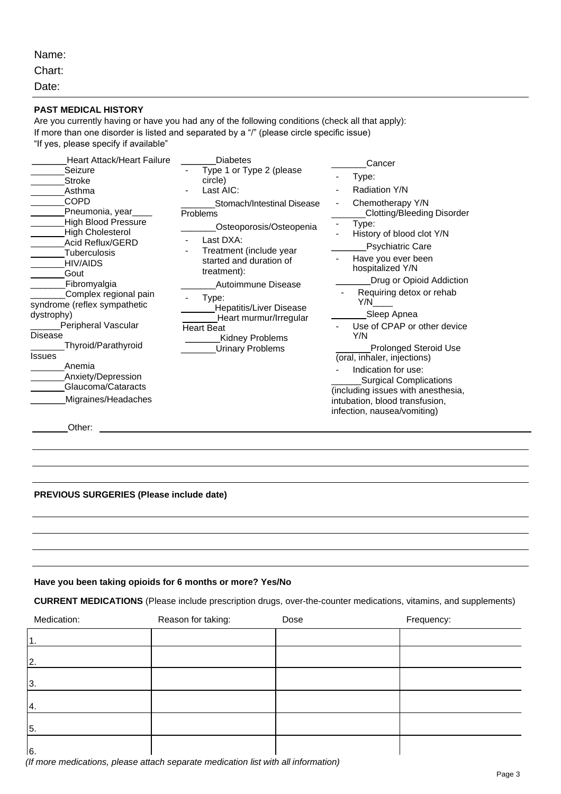Name:

Chart:

Date:

#### **PAST MEDICAL HISTORY**

Are you currently having or have you had any of the following conditions (check all that apply): If more than one disorder is listed and separated by a "/" (please circle specific issue) "If yes, please specify if available"

| <b>Heart Attack/Heart Failure</b>                                                                                                                                                                                                                                                                                                                                                                                   | <b>Diabetes</b>                                                                                                                                                                                                                                                                                                   | Cancer                                                                                                                                                                                                                                                                                                                                                                                                                                                                                                      |
|---------------------------------------------------------------------------------------------------------------------------------------------------------------------------------------------------------------------------------------------------------------------------------------------------------------------------------------------------------------------------------------------------------------------|-------------------------------------------------------------------------------------------------------------------------------------------------------------------------------------------------------------------------------------------------------------------------------------------------------------------|-------------------------------------------------------------------------------------------------------------------------------------------------------------------------------------------------------------------------------------------------------------------------------------------------------------------------------------------------------------------------------------------------------------------------------------------------------------------------------------------------------------|
| Seizure<br><b>Stroke</b>                                                                                                                                                                                                                                                                                                                                                                                            | Type 1 or Type 2 (please<br>circle)                                                                                                                                                                                                                                                                               | Type:<br>$\overline{\phantom{0}}$                                                                                                                                                                                                                                                                                                                                                                                                                                                                           |
| Asthma                                                                                                                                                                                                                                                                                                                                                                                                              | Last AIC:                                                                                                                                                                                                                                                                                                         | Radiation Y/N                                                                                                                                                                                                                                                                                                                                                                                                                                                                                               |
| <b>COPD</b><br>Pneumonia, year_<br><b>High Blood Pressure</b><br><b>High Cholesterol</b><br>Acid Reflux/GERD<br><b>Tuberculosis</b><br><b>HIV/AIDS</b><br>Gout<br>Fibromyalgia<br>Complex regional pain<br>syndrome (reflex sympathetic<br>dystrophy)<br>Peripheral Vascular<br><b>Disease</b><br>Thyroid/Parathyroid<br><b>Issues</b><br>Anemia<br>Anxiety/Depression<br>Glaucoma/Cataracts<br>Migraines/Headaches | Stomach/Intestinal Disease<br>Problems<br>Osteoporosis/Osteopenia<br>Last DXA:<br>Treatment (include year<br>started and duration of<br>treatment):<br>Autoimmune Disease<br>Type:<br><b>Hepatitis/Liver Disease</b><br>Heart murmur/Irregular<br><b>Heart Beat</b><br>Kidney Problems<br><b>Urinary Problems</b> | Chemotherapy Y/N<br><b>Clotting/Bleeding Disorder</b><br>Type:<br>History of blood clot Y/N<br><b>Psychiatric Care</b><br>Have you ever been<br>hospitalized Y/N<br>Drug or Opioid Addiction<br>Requiring detox or rehab<br>Y/N<br>Sleep Apnea<br>Use of CPAP or other device<br>Y/N<br><b>Prolonged Steroid Use</b><br>(oral, inhaler, injections)<br>Indication for use:<br>Surgical Complications<br>(including issues with anesthesia,<br>intubation, blood transfusion,<br>infection, nausea/vomiting) |
|                                                                                                                                                                                                                                                                                                                                                                                                                     |                                                                                                                                                                                                                                                                                                                   |                                                                                                                                                                                                                                                                                                                                                                                                                                                                                                             |

Other: **Other: Other: Other: Other: Other: Other: Other: Other: Other: Other: Other: Other: Other: Other: Other: Other: Other: Other: Other: Other: Other: Other: Other: Other:** 

#### **PREVIOUS SURGERIES (Please include date)**

#### **Have you been taking opioids for 6 months or more? Yes/No**

**CURRENT MEDICATIONS** (Please include prescription drugs, over-the-counter medications, vitamins, and supplements)

| Medication: | Reason for taking: | Dose | Frequency: |
|-------------|--------------------|------|------------|
|             |                    |      |            |
| 2.          |                    |      |            |
| 3.          |                    |      |            |
| 4.          |                    |      |            |
| 5.          |                    |      |            |
| 6.          |                    |      |            |

*(If more medications, please attach separate medication list with all information)*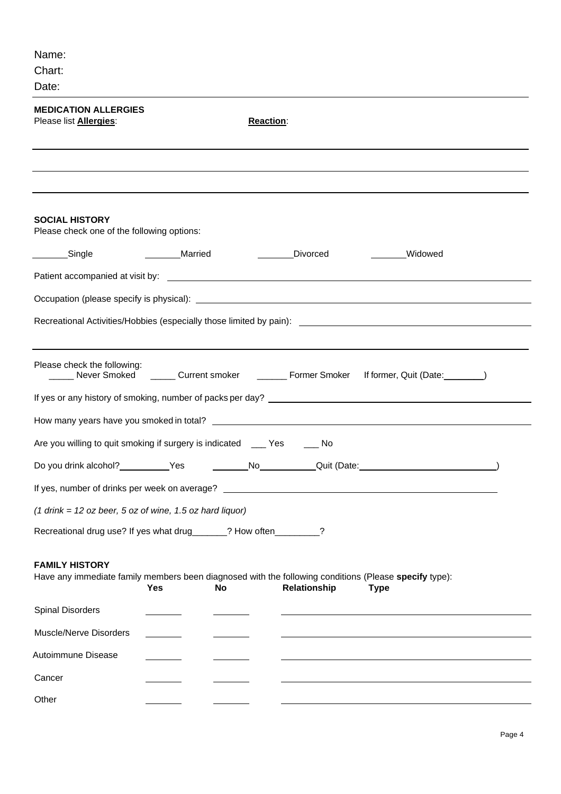| Name:                                                                                                                                                                             |
|-----------------------------------------------------------------------------------------------------------------------------------------------------------------------------------|
| Chart:                                                                                                                                                                            |
| Date:                                                                                                                                                                             |
| <b>MEDICATION ALLERGIES</b><br>Please list <b>Allergies:</b><br><b>Reaction:</b>                                                                                                  |
|                                                                                                                                                                                   |
| <b>SOCIAL HISTORY</b><br>Please check one of the following options:                                                                                                               |
| Married<br>Divorced<br>Widowed<br>Single                                                                                                                                          |
|                                                                                                                                                                                   |
|                                                                                                                                                                                   |
|                                                                                                                                                                                   |
| Please check the following:<br>______ Never Smoked _______ Current smoker ________ Former Smoker<br>If former, Quit (Date:_________)                                              |
|                                                                                                                                                                                   |
|                                                                                                                                                                                   |
| Are you willing to quit smoking if surgery is indicated ____ Yes _____ No                                                                                                         |
| Do you drink alcohol?<br>Quit (Date:<br><b>No</b><br>Yes                                                                                                                          |
|                                                                                                                                                                                   |
| $(1$ drink = 12 oz beer, 5 oz of wine, 1.5 oz hard liquor)                                                                                                                        |
| Recreational drug use? If yes what drug______? How often________?                                                                                                                 |
| <b>FAMILY HISTORY</b><br>Have any immediate family members been diagnosed with the following conditions (Please specify type):<br>Relationship<br>Yes<br><b>No</b><br><b>Type</b> |
| <b>Spinal Disorders</b>                                                                                                                                                           |
| Muscle/Nerve Disorders                                                                                                                                                            |
| Autoimmune Disease                                                                                                                                                                |
| Cancer                                                                                                                                                                            |
| Other                                                                                                                                                                             |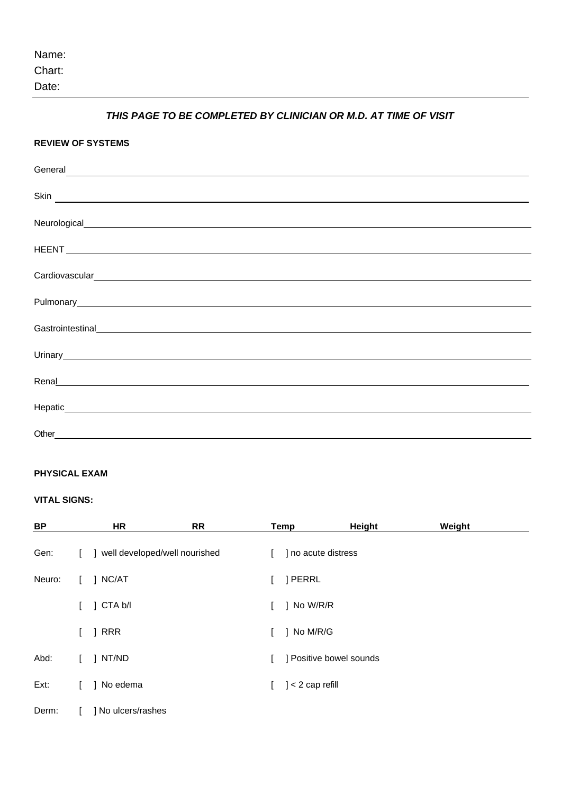| Name: |  |
|-------|--|
|-------|--|

Date:

### *THIS PAGE TO BE COMPLETED BY CLINICIAN OR M.D. AT TIME OF VISIT*

| <b>REVIEW OF SYSTEMS</b>                                                                                                                                                                                                             |  |  |
|--------------------------------------------------------------------------------------------------------------------------------------------------------------------------------------------------------------------------------------|--|--|
| General expression of the contract of the contract of the contract of the contract of the contract of the contract of the contract of the contract of the contract of the contract of the contract of the contract of the cont       |  |  |
| Skin <u>starting and the set of the set of the set of the set of the set of the set of the set of the set of the set of the set of the set of the set of the set of the set of the set of the set of the set of the set of the s</u> |  |  |
|                                                                                                                                                                                                                                      |  |  |
|                                                                                                                                                                                                                                      |  |  |
|                                                                                                                                                                                                                                      |  |  |
|                                                                                                                                                                                                                                      |  |  |
| Gastrointestinal expression and the control of the control of the control of the control of the control of the                                                                                                                       |  |  |
|                                                                                                                                                                                                                                      |  |  |
| Renal Renal Construction of the Construction of the Construction of the Construction of the Construction of the Construction of the Construction of the Construction of the Construction of the Construction of the Constructi       |  |  |
|                                                                                                                                                                                                                                      |  |  |
|                                                                                                                                                                                                                                      |  |  |

### **PHYSICAL EXAM**

### **VITAL SIGNS:**

| BP     |    | HR                            | <b>RR</b> | Temp                    | Height | Weight |
|--------|----|-------------------------------|-----------|-------------------------|--------|--------|
| Gen:   | Ι. | well developed/well nourished |           | ] no acute distress     |        |        |
| Neuro: |    | NC/AT                         |           | ] PERRL                 |        |        |
|        |    | CTA b/l                       |           | ] No W/R/R              |        |        |
|        |    | <b>RRR</b>                    |           | ] No M/R/G              |        |        |
| Abd:   |    | NT/ND                         |           | ] Positive bowel sounds |        |        |
| Ext:   |    | No edema                      |           | $] < 2$ cap refill      |        |        |
| Derm:  |    | No ulcers/rashes              |           |                         |        |        |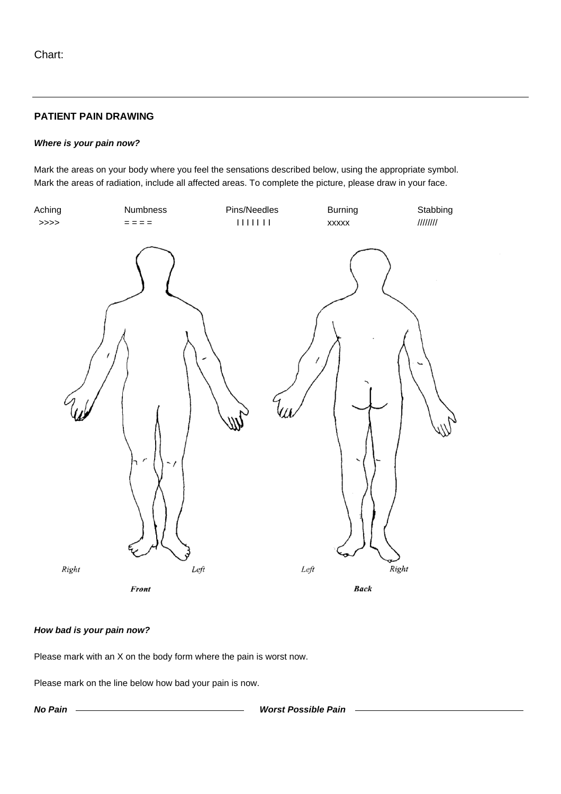### **PATIENT PAIN DRAWING**

#### *Where is your pain now?*

Mark the areas on your body where you feel the sensations described below, using the appropriate symbol. Mark the areas of radiation, include all affected areas. To complete the picture, please draw in your face.



#### *How bad is your pain now?*

Please mark with an X on the body form where the pain is worst now.

Please mark on the line below how bad your pain is now.

*No Pain Worst Possible Pain*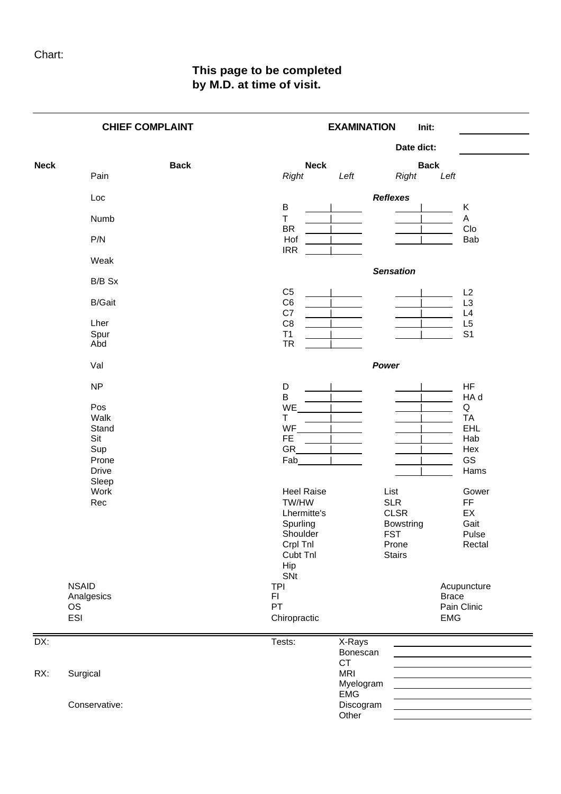## **This page to be completed by M.D. at time of visit.**

|             |               | <b>CHIEF COMPLAINT</b> |                                       | <b>EXAMINATION</b>      |                    | Init:               |                      |
|-------------|---------------|------------------------|---------------------------------------|-------------------------|--------------------|---------------------|----------------------|
|             |               |                        |                                       |                         | Date dict:         |                     |                      |
| <b>Neck</b> | Pain          | <b>Back</b>            | <b>Neck</b><br><b>Right</b>           | Left                    | <b>Right</b>       | <b>Back</b><br>Left |                      |
|             |               |                        |                                       |                         |                    |                     |                      |
|             | Loc           |                        | B                                     |                         | <b>Reflexes</b>    |                     | Κ                    |
|             | Numb          |                        | $\top$<br><b>BR</b>                   |                         |                    |                     | A<br>CIO             |
|             | P/N           |                        | Hof                                   |                         |                    |                     | Bab                  |
|             | Weak          |                        | <b>IRR</b>                            |                         |                    |                     |                      |
|             |               |                        |                                       |                         | <b>Sensation</b>   |                     |                      |
|             | B/B Sx        |                        | C <sub>5</sub>                        |                         |                    |                     | L2                   |
|             | <b>B/Gait</b> |                        | C <sub>6</sub>                        |                         |                    |                     | L <sub>3</sub>       |
|             | Lher          |                        | C7<br>C <sub>8</sub>                  |                         |                    |                     | L4<br>L <sub>5</sub> |
|             | Spur<br>Abd   |                        | T1<br><b>TR</b>                       |                         |                    |                     | S <sub>1</sub>       |
|             |               |                        |                                       |                         |                    |                     |                      |
|             | Val           |                        |                                       | Power                   |                    |                     |                      |
|             | <b>NP</b>     |                        | D<br>$\sf B$                          |                         |                    |                     | HF<br>HA d           |
|             | Pos           |                        | WE                                    |                         |                    |                     | Q                    |
|             | Walk          |                        | Т                                     |                         |                    |                     | <b>TA</b>            |
|             | Stand<br>Sit  |                        | WF                                    |                         |                    |                     | <b>EHL</b>           |
|             | Sup           |                        | <b>FE</b><br>GR                       |                         |                    |                     | Hab<br>Hex           |
|             | Prone         |                        | Fab                                   |                         |                    |                     | GS                   |
|             | <b>Drive</b>  |                        |                                       |                         |                    |                     | Hams                 |
|             | Sleep         |                        |                                       |                         |                    |                     |                      |
|             | Work<br>Rec   |                        | <b>Heel Raise</b><br>TW/HW            |                         | List<br><b>SLR</b> |                     | Gower<br><b>FF</b>   |
|             |               |                        | Lhermitte's                           |                         | <b>CLSR</b>        |                     | EX                   |
|             |               |                        | Spurling                              |                         | <b>Bowstring</b>   |                     | Gait                 |
|             |               |                        | Shoulder                              |                         | <b>FST</b>         |                     | Pulse                |
|             |               |                        | Crpl Tnl                              |                         | Prone              |                     | Rectal               |
|             |               |                        | Cubt Tnl                              |                         | <b>Stairs</b>      |                     |                      |
|             |               |                        | Hip                                   |                         |                    |                     |                      |
|             | <b>NSAID</b>  |                        | SNt                                   |                         |                    |                     |                      |
|             | Analgesics    |                        | <b>TPI</b><br>$\mathsf{F} \mathsf{I}$ |                         |                    | <b>Brace</b>        | Acupuncture          |
|             | <b>OS</b>     |                        | PT                                    |                         |                    |                     | Pain Clinic          |
|             | ESI           |                        | Chiropractic                          |                         |                    | <b>EMG</b>          |                      |
| DX:         |               |                        | Tests:                                | X-Rays                  |                    |                     |                      |
|             |               |                        |                                       | Bonescan<br>CT          |                    |                     |                      |
| RX:         | Surgical      |                        |                                       | <b>MRI</b>              |                    |                     |                      |
|             |               |                        |                                       | Myelogram               |                    |                     |                      |
|             | Conservative: |                        |                                       | <b>EMG</b><br>Discogram |                    |                     |                      |
|             |               |                        |                                       | Other                   |                    |                     |                      |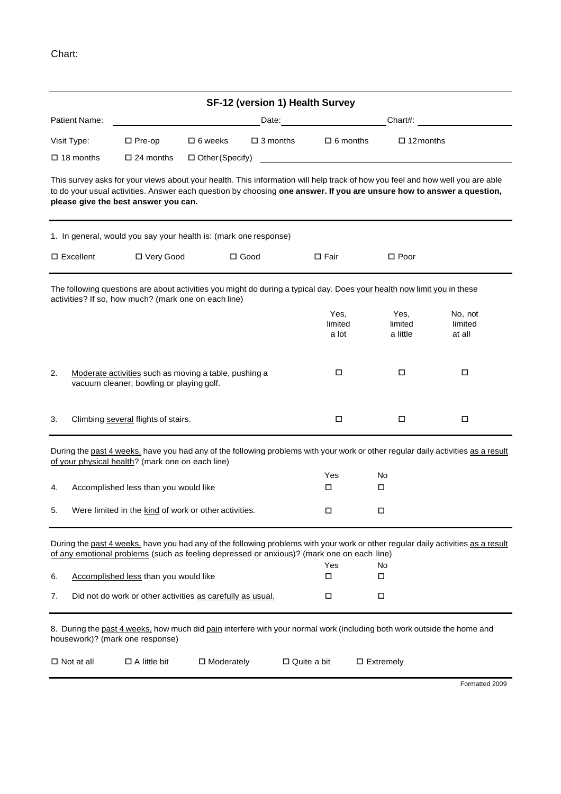|                                 |                                                                                                   |                   |                    | SF-12 (version 1) Health Survey                                                                                                                                                                                                |                                                                                                                                                |                                                                                                                                                                                                                                                        |
|---------------------------------|---------------------------------------------------------------------------------------------------|-------------------|--------------------|--------------------------------------------------------------------------------------------------------------------------------------------------------------------------------------------------------------------------------|------------------------------------------------------------------------------------------------------------------------------------------------|--------------------------------------------------------------------------------------------------------------------------------------------------------------------------------------------------------------------------------------------------------|
| <b>Patient Name:</b>            |                                                                                                   |                   |                    | Date: experience and the set of the set of the set of the set of the set of the set of the set of the set of the set of the set of the set of the set of the set of the set of the set of the set of the set of the set of the | Chart#:                                                                                                                                        |                                                                                                                                                                                                                                                        |
| Visit Type:<br>$\square$ Pre-op |                                                                                                   | $\Box$ 6 weeks    | $\square$ 3 months | $\Box$ 6 months                                                                                                                                                                                                                | $\Box$ 12 months                                                                                                                               |                                                                                                                                                                                                                                                        |
| $\Box$ 18 months                | $\square$ 24 months<br>□ Other (Specify)                                                          |                   |                    |                                                                                                                                                                                                                                | <u> 1989 - Jan Barbara Barat, prima popular popular popular popular popular popular popular popular popular popu</u>                           |                                                                                                                                                                                                                                                        |
|                                 | please give the best answer you can.                                                              |                   |                    |                                                                                                                                                                                                                                |                                                                                                                                                | This survey asks for your views about your health. This information will help track of how you feel and how well you are able<br>to do your usual activities. Answer each question by choosing one answer. If you are unsure how to answer a question, |
|                                 | 1. In general, would you say your health is: (mark one response)                                  |                   |                    |                                                                                                                                                                                                                                |                                                                                                                                                |                                                                                                                                                                                                                                                        |
| $\square$ Excellent             | □ Very Good                                                                                       |                   | $\square$ Good     | $\square$ Fair                                                                                                                                                                                                                 | $\Box$ Poor                                                                                                                                    |                                                                                                                                                                                                                                                        |
|                                 | activities? If so, how much? (mark one on each line)                                              |                   |                    |                                                                                                                                                                                                                                | The following questions are about activities you might do during a typical day. Does your health now limit you in these                        |                                                                                                                                                                                                                                                        |
|                                 |                                                                                                   |                   |                    | Yes,<br>limited<br>a lot                                                                                                                                                                                                       | Yes,<br>limited<br>a little                                                                                                                    | No, not<br>limited<br>at all                                                                                                                                                                                                                           |
| 2.                              | Moderate activities such as moving a table, pushing a<br>vacuum cleaner, bowling or playing golf. |                   |                    | □                                                                                                                                                                                                                              | □                                                                                                                                              | □                                                                                                                                                                                                                                                      |
| 3.                              | Climbing several flights of stairs.                                                               |                   |                    | □                                                                                                                                                                                                                              | $\Box$                                                                                                                                         | $\Box$                                                                                                                                                                                                                                                 |
|                                 | of your physical health? (mark one on each line)                                                  |                   |                    |                                                                                                                                                                                                                                |                                                                                                                                                | During the past 4 weeks, have you had any of the following problems with your work or other regular daily activities as a result                                                                                                                       |
|                                 |                                                                                                   |                   |                    | Yes                                                                                                                                                                                                                            | No                                                                                                                                             |                                                                                                                                                                                                                                                        |
| 4.                              | Accomplished less than you would like                                                             |                   |                    | □                                                                                                                                                                                                                              | □                                                                                                                                              |                                                                                                                                                                                                                                                        |
| 5.                              | Were limited in the kind of work or other activities.                                             |                   |                    | □                                                                                                                                                                                                                              | □                                                                                                                                              |                                                                                                                                                                                                                                                        |
|                                 | of any emotional problems (such as feeling depressed or anxious)? (mark one on each line)         |                   |                    |                                                                                                                                                                                                                                |                                                                                                                                                | During the past 4 weeks, have you had any of the following problems with your work or other regular daily activities as a result                                                                                                                       |
| 6.                              | Accomplished less than you would like                                                             |                   |                    | Yes<br>□                                                                                                                                                                                                                       | No<br>□                                                                                                                                        |                                                                                                                                                                                                                                                        |
| 7.                              | Did not do work or other activities as carefully as usual.                                        |                   |                    | □                                                                                                                                                                                                                              | □                                                                                                                                              |                                                                                                                                                                                                                                                        |
| $\Box$ Not at all               | housework)? (mark one response)<br>$\Box$ A little bit                                            | $\Box$ Moderately |                    | $\Box$ Quite a bit                                                                                                                                                                                                             | 8. During the past 4 weeks, how much did pain interfere with your normal work (including both work outside the home and<br>$\square$ Extremely |                                                                                                                                                                                                                                                        |
|                                 |                                                                                                   |                   |                    |                                                                                                                                                                                                                                |                                                                                                                                                |                                                                                                                                                                                                                                                        |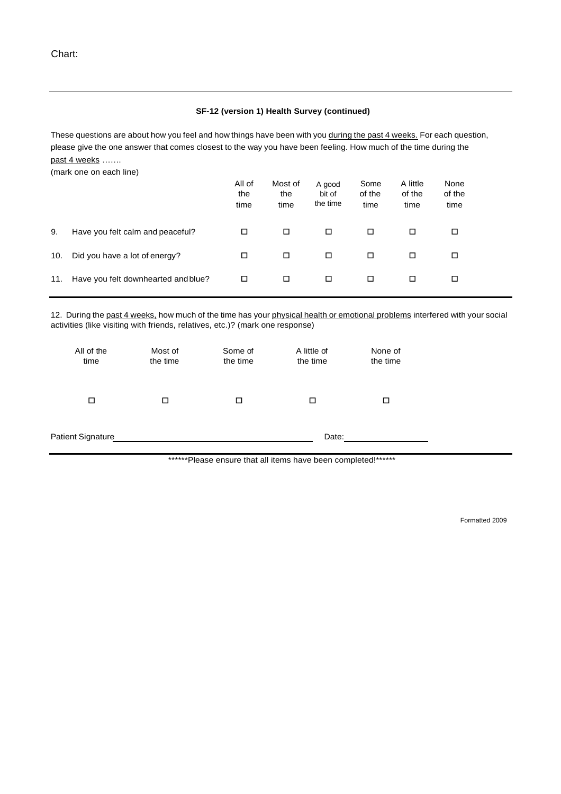#### **SF-12 (version 1) Health Survey (continued)**

These questions are about how you feel and how things have been with you during the past 4 weeks. For each question, please give the one answer that comes closest to the way you have been feeling. How much of the time during the past 4 weeks .......

(mark one on each line)

|     |                                     | All of<br>the<br>time | Most of<br>the<br>time | A good<br>bit of<br>the time | Some<br>of the<br>time | A little<br>of the<br>time | None<br>of the<br>time |
|-----|-------------------------------------|-----------------------|------------------------|------------------------------|------------------------|----------------------------|------------------------|
| 9.  | Have you felt calm and peaceful?    | □                     | □                      | □                            | □                      | □                          | □                      |
| 10. | Did you have a lot of energy?       | □                     | □                      | □                            | □                      | ◻                          | □                      |
| 11. | Have you felt downhearted and blue? | □                     | □                      | □                            | □                      | ◻                          | □                      |

12. During the past 4 weeks, how much of the time has your physical health or emotional problems interfered with your social activities (like visiting with friends, relatives, etc.)? (mark one response)

| All of the<br>time | Most of<br>the time | Some of<br>the time | A little of<br>the time | None of<br>the time |  |
|--------------------|---------------------|---------------------|-------------------------|---------------------|--|
| □                  | П                   | □                   | п                       | □                   |  |
| Patient Signature  |                     |                     | Date:                   |                     |  |

\*\*\*\*\*\*Please ensure that all items have been completed!\*\*\*\*\*\*

Formatted 2009